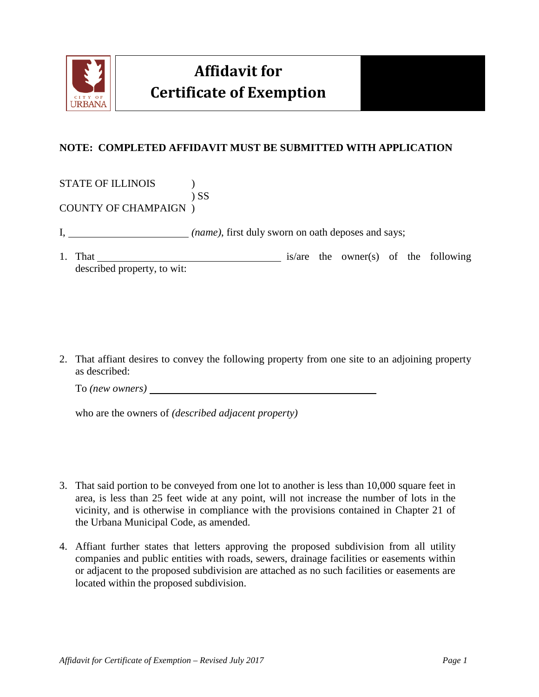

## **Affidavit for Certificate of Exemption**



STATE OF ILLINOIS  $\qquad \qquad$  ) ) SS

COUNTY OF CHAMPAIGN )

- I, *(name)*, first duly sworn on oath deposes and says;
- 1. That is/are the owner(s) of the following described property, to wit:

2. That affiant desires to convey the following property from one site to an adjoining property as described:

To *(new owners)*

who are the owners of *(described adjacent property)*

- 3. That said portion to be conveyed from one lot to another is less than 10,000 square feet in area, is less than 25 feet wide at any point, will not increase the number of lots in the vicinity, and is otherwise in compliance with the provisions contained in Chapter 21 of the Urbana Municipal Code, as amended.
- 4. Affiant further states that letters approving the proposed subdivision from all utility companies and public entities with roads, sewers, drainage facilities or easements within or adjacent to the proposed subdivision are attached as no such facilities or easements are located within the proposed subdivision.